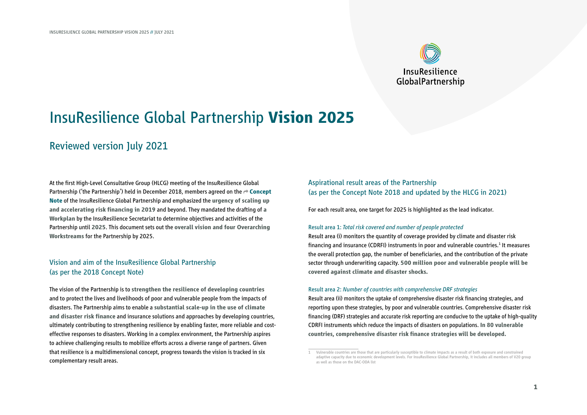

# InsuResilience Global Partnership **Vision 2025**

# Reviewed version July 2021

At the first High-Level Consultative Group (HLCG) meeting of the InsuResilience Global Partnership ('the Partnership') held in December 2018, members agreed on the **→ Concept [Note](https://www.insuresilience.org/wp-content/uploads/2018/05/20180502_Concept-Note_InsuResilience-Global-Partnership.pdf)** of the InsuResilience Global Partnership and emphasized the **urgency of scaling up and accelerating risk financing in 2019** and beyond. They mandated the drafting of **a Workplan** by the InsuResilience Secretariat to determine objectives and activities of the Partnership until **2025**. This document sets out the **overall vision and four Overarching Workstreams** for the Partnership by 2025.

# Vision and aim of the InsuResilience Global Partnership (as per the 2018 Concept Note)

The vision of the Partnership is to **strengthen the resilience of developing countries** and to protect the lives and livelihoods of poor and vulnerable people from the impacts of disasters. The Partnership aims to enable a **substantial scale-up in the use of climate and disaster risk finance** and insurance solutions and approaches by developing countries, ultimately contributing to strengthening resilience by enabling faster, more reliable and costeffective responses to disasters. Working in a complex environment, the Partnership aspires to achieve challenging results to mobilize efforts across a diverse range of partners. Given that resilience is a multidimensional concept, progress towards the vision is tracked in six complementary result areas.

## Aspirational result areas of the Partnership (as per the Concept Note 2018 and updated by the HLCG in 2021)

For each result area, one target for 2025 is highlighted as the lead indicator.

#### Result area 1: *Total risk covered and number of people protected*

Result area (i) monitors the quantity of coverage provided by climate and disaster risk financing and insurance (CDRFI) instruments in poor and vulnerable countries.<sup>1</sup> It measures the overall protection gap, the number of beneficiaries, and the contribution of the private sector through underwriting capacity. **500 million poor and vulnerable people will be covered against climate and disaster shocks.**

#### Result area 2: *Number of countries with comprehensive DRF strategies*

Result area (ii) monitors the uptake of comprehensive disaster risk financing strategies, and reporting upon these strategies, by poor and vulnerable countries. Comprehensive disaster risk financing (DRF) strategies and accurate risk reporting are conducive to the uptake of high-quality CDRFI instruments which reduce the impacts of disasters on populations. **In 80 vulnerable countries, comprehensive disaster risk finance strategies will be developed.**

<sup>1</sup> Vulnerable countries are those that are particularly susceptible to climate impacts as a result of both exposure and constrained adaptive capacity due to economic development levels. For InsuResilience Global Partnership, it includes all members of V20 group as well as those on the DAC-ODA list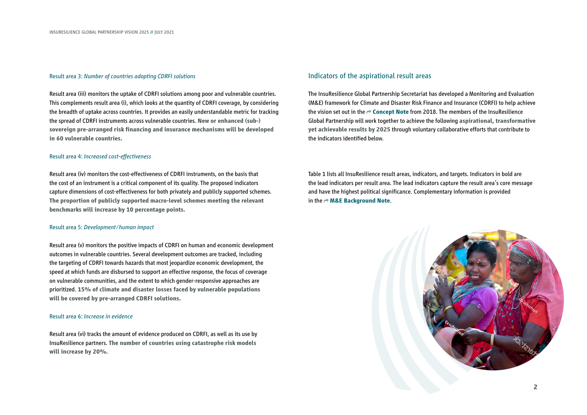#### Result area 3: *Number of countries adopting CDRFI solutions*

Result area (iii) monitors the uptake of CDRFI solutions among poor and vulnerable countries. This complements result area (i), which looks at the quantity of CDRFI coverage, by considering the breadth of uptake across countries. It provides an easily understandable metric for tracking the spread of CDRFI instruments across vulnerable countries. **New or enhanced (sub-) sovereign pre-arranged risk financing and insurance mechanisms will be developed in 60 vulnerable countries.**

#### Result area 4: *Increased cost-effectiveness*

Result area (iv) monitors the cost-effectiveness of CDRFI instruments, on the basis that the cost of an instrument is a critical component of its quality. The proposed indicators capture dimensions of cost-effectiveness for both privately and publicly supported schemes. **The proportion of publicly supported macro-level schemes meeting the relevant benchmarks will increase by 10 percentage points.**

#### Result area 5: *Development/ human impact*

Result area (v) monitors the positive impacts of CDRFI on human and economic development outcomes in vulnerable countries. Several development outcomes are tracked, including the targeting of CDRFI towards hazards that most jeopardize economic development, the speed at which funds are disbursed to support an effective response, the focus of coverage on vulnerable communities, and the extent to which gender-responsive approaches are prioritized. **15% of climate and disaster losses faced by vulnerable populations will be covered by pre-arranged CDRFI solutions.**

#### Result area 6: *Increase in evidence*

Result area (vi) tracks the amount of evidence produced on CDRFI, as well as its use by InsuResilience partners. **The number of countries using catastrophe risk models will increase by 20%.**

### Indicators of the aspirational result areas

The InsuResilience Global Partnership Secretariat has developed a Monitoring and Evaluation (M&E) framework for Climate and Disaster Risk Finance and Insurance (CDRFI) to help achieve the vision set out in the **→ [Concept Note](https://www.insuresilience.org/wp-content/uploads/2018/05/20180502_Concept-Note_InsuResilience-Global-Partnership.pdf)** from 2018. The members of the InsuResilience Global Partnership will work together to achieve the following **aspirational, transformative yet achievable results by 2025** through voluntary collaborative efforts that contribute to the indicators identified below.

Table 1 lists all InsuResilience result areas, indicators, and targets. Indicators in bold are the lead indicators per result area. The lead indicators capture the result area's core message and have the highest political significance. Complementary information is provided in the **→ [M&E Background Note](https://www.insuresilience.org/wp-content/uploads/2021/06/20210601_ME_Background_Note.pdf).** 

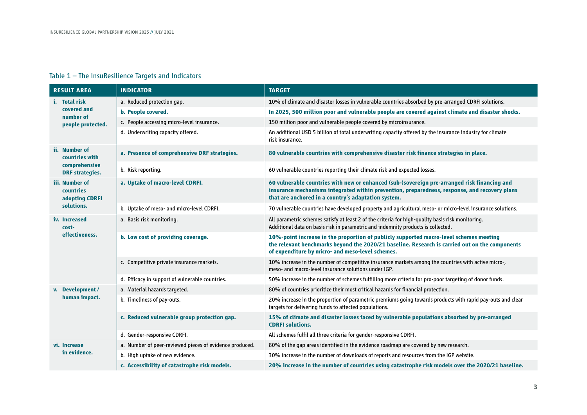# Table 1 – The InsuResilience Targets and Indicators

|  | <b>RESULT AREA</b>                                                         | <b>INDICATOR</b>                                        | <b>TARGET</b>                                                                                                                                                                                                                                        |
|--|----------------------------------------------------------------------------|---------------------------------------------------------|------------------------------------------------------------------------------------------------------------------------------------------------------------------------------------------------------------------------------------------------------|
|  | i. Total risk<br>covered and<br>number of<br>people protected.             | a. Reduced protection gap.                              | 10% of climate and disaster losses in vulnerable countries absorbed by pre-arranged CDRFI solutions.                                                                                                                                                 |
|  |                                                                            | b. People covered.                                      | In 2025, 500 million poor and vulnerable people are covered against climate and disaster shocks.                                                                                                                                                     |
|  |                                                                            | c. People accessing micro-level insurance.              | 150 million poor and vulnerable people covered by microinsurance.                                                                                                                                                                                    |
|  |                                                                            | d. Underwriting capacity offered.                       | An additional USD 5 billion of total underwriting capacity offered by the insurance industry for climate<br>risk insurance.                                                                                                                          |
|  | ii. Number of<br>countries with<br>comprehensive<br><b>DRF</b> strategies. | a. Presence of comprehensive DRF strategies.            | 80 vulnerable countries with comprehensive disaster risk finance strategies in place.                                                                                                                                                                |
|  |                                                                            | b. Risk reporting.                                      | 60 vulnerable countries reporting their climate risk and expected losses.                                                                                                                                                                            |
|  | iii. Number of<br>countries<br>adopting CDRFI<br>solutions.                | a. Uptake of macro-level CDRFI.                         | 60 vulnerable countries with new or enhanced (sub-)sovereign pre-arranged risk financing and<br>insurance mechanisms integrated within prevention, preparedness, response, and recovery plans<br>that are anchored in a country's adaptation system. |
|  |                                                                            | b. Uptake of meso- and micro-level CDRFI.               | 70 vulnerable countries have developed property and agricultural meso- or micro-level insurance solutions.                                                                                                                                           |
|  | iv. Increased<br>cost-<br>effectiveness.                                   | a. Basis risk monitoring.                               | All parametric schemes satisfy at least 2 of the criteria for high-quality basis risk monitoring.<br>Additional data on basis risk in parametric and indemnity products is collected.                                                                |
|  |                                                                            | b. Low cost of providing coverage.                      | 10%-point increase in the proportion of publicly supported macro-level schemes meeting<br>the relevant benchmarks beyond the 2020/21 baseline. Research is carried out on the components<br>of expenditure by micro- and meso-level schemes.         |
|  |                                                                            | c. Competitive private insurance markets.               | 10% increase in the number of competitive insurance markets among the countries with active micro-,<br>meso- and macro-level insurance solutions under IGP.                                                                                          |
|  |                                                                            | d. Efficacy in support of vulnerable countries.         | 50% increase in the number of schemes fulfilling more criteria for pro-poor targeting of donor funds.                                                                                                                                                |
|  | v. Development /<br>human impact.                                          | a. Material hazards targeted.                           | 80% of countries prioritize their most critical hazards for financial protection.                                                                                                                                                                    |
|  |                                                                            | b. Timeliness of pay-outs.                              | 20% increase in the proportion of parametric premiums going towards products with rapid pay-outs and clear<br>targets for delivering funds to affected populations.                                                                                  |
|  |                                                                            | c. Reduced vulnerable group protection gap.             | 15% of climate and disaster losses faced by vulnerable populations absorbed by pre-arranged<br><b>CDRFI</b> solutions.                                                                                                                               |
|  |                                                                            | d. Gender-responsive CDRFI.                             | All schemes fulfil all three criteria for gender-responsive CDRFI.                                                                                                                                                                                   |
|  | vi. Increase<br>in evidence.                                               | a. Number of peer-reviewed pieces of evidence produced. | 80% of the gap areas identified in the evidence roadmap are covered by new research.                                                                                                                                                                 |
|  |                                                                            | b. High uptake of new evidence.                         | 30% increase in the number of downloads of reports and resources from the IGP website.                                                                                                                                                               |
|  |                                                                            | c. Accessibility of catastrophe risk models.            | 20% increase in the number of countries using catastrophe risk models over the 2020/21 baseline.                                                                                                                                                     |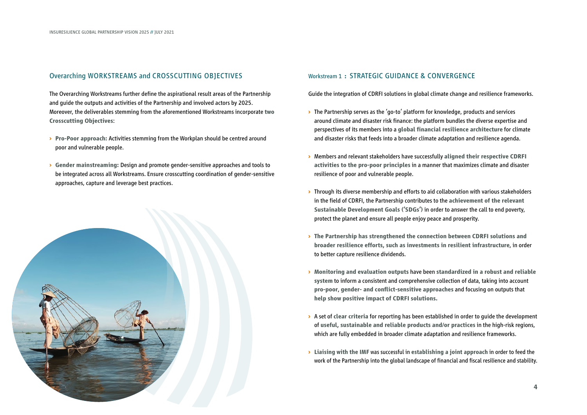### Overarching WORKSTREAMS and CROSSCUTTING OBJECTIVES

The Overarching Workstreams further define the aspirational result areas of the Partnership and guide the outputs and activities of the Partnership and involved actors by 2025. Moreover, the deliverables stemming from the aforementioned Workstreams incorporate **two Crosscutting Objectives**:

- **› Pro-Poor approach:** Activities stemming from the Workplan should be centred around poor and vulnerable people.
- **› Gender mainstreaming:** Design and promote gender-sensitive approaches and tools to be integrated across all Workstreams. Ensure crosscutting coordination of gender-sensitive approaches, capture and leverage best practices.



#### Workstream 1 **:** STRATEGIC GUIDANCE & CONVERGENCE

Guide the integration of CDRFI solutions in global climate change and resilience frameworks.

- **›** The Partnership serves as the 'go-to' platform for knowledge, products and services around climate and disaster risk finance: the platform bundles the diverse expertise and perspectives of its members into a **global financial resilience architecture** for climate and disaster risks that feeds into a broader climate adaptation and resilience agenda.
- **›** Members and relevant stakeholders have successfully **aligned their respective CDRFI activities to the pro-poor principles** in a manner that maximizes climate and disaster resilience of poor and vulnerable people.
- **›** Through its diverse membership and efforts to aid collaboration with various stakeholders in the field of CDRFI, the Partnership contributes to the **achievement of the relevant Sustainable Development Goals ('SDGs')** in order to answer the call to end poverty, protect the planet and ensure all people enjoy peace and prosperity.
- **› The Partnership has strengthened the connection between CDRFI solutions and broader resilience efforts, such as investments in resilient infrastructure**, in order to better capture resilience dividends.
- **› Monitoring and evaluation outputs** have been **standardized in a robust and reliable system** to inform a consistent and comprehensive collection of data, taking into account **pro-poor**, **gender- and conflict-sensitive approaches** and focusing on outputs that **help show positive impact of CDRFI solutions.**
- **›** A set of **clear criteria** for reporting has been established in order to guide the development of **useful, sustainable and reliable products and/or practices** in the high-risk regions, which are fully embedded in broader climate adaptation and resilience frameworks.
- **› Liaising with the IMF** was successful in **establishing a joint approach** in order to feed the work of the Partnership into the global landscape of financial and fiscal resilience and stability.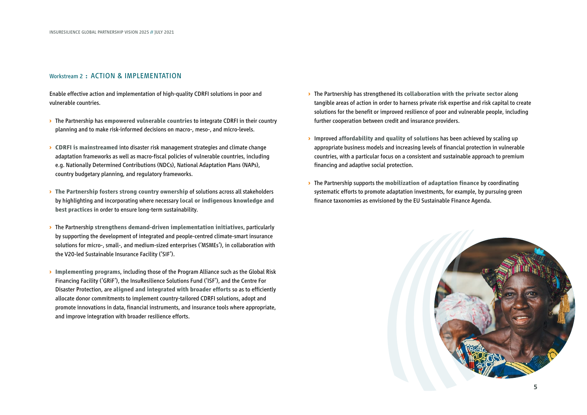#### Workstream 2 **:** ACTION & IMPLEMENTATION

Enable effective action and implementation of high-quality CDRFI solutions in poor and vulnerable countries.

- **›** The Partnership has **empowered vulnerable countries** to integrate CDRFI in their country planning and to make risk-informed decisions on macro-, meso-, and micro-levels.
- **› CDRFI is mainstreamed** into disaster risk management strategies and climate change adaptation frameworks as well as macro-fiscal policies of vulnerable countries, including e.g. Nationally Determined Contributions (NDCs), National Adaptation Plans (NAPs), country budgetary planning, and regulatory frameworks.
- **› The Partnership fosters strong country ownership** of solutions across all stakeholders by highlighting and incorporating where necessary **local or indigenous knowledge and best practices** in order to ensure long-term sustainability.
- **›** The Partnership **strengthens demand-driven implementation initiatives**, particularly by supporting the development of integrated and people-centred climate-smart insurance solutions for micro-, small-, and medium-sized enterprises ('MSMEs'), in collaboration with the V20-led Sustainable Insurance Facility ('SIF').
- **› Implementing programs**, including those of the Program Alliance such as the Global Risk Financing Facility ('GRiF'), the InsuResilience Solutions Fund ('ISF'), and the Centre For Disaster Protection, are **aligned and integrated with broader efforts** so as to efficiently allocate donor commitments to implement country-tailored CDRFI solutions, adopt and promote innovations in data, financial instruments, and insurance tools where appropriate, and improve integration with broader resilience efforts.
- **›** The Partnership has strengthened its **collaboration with the private sector** along tangible areas of action in order to harness private risk expertise and risk capital to create solutions for the benefit or improved resilience of poor and vulnerable people, including further cooperation between credit and insurance providers.
- **›** Improved **affordability and quality of solutions** has been achieved by scaling up appropriate business models and increasing levels of financial protection in vulnerable countries, with a particular focus on a consistent and sustainable approach to premium financing and adaptive social protection.
- **›** The Partnership supports the **mobilization of adaptation finance** by coordinating systematic efforts to promote adaptation investments, for example, by pursuing green finance taxonomies as envisioned by the EU Sustainable Finance Agenda.